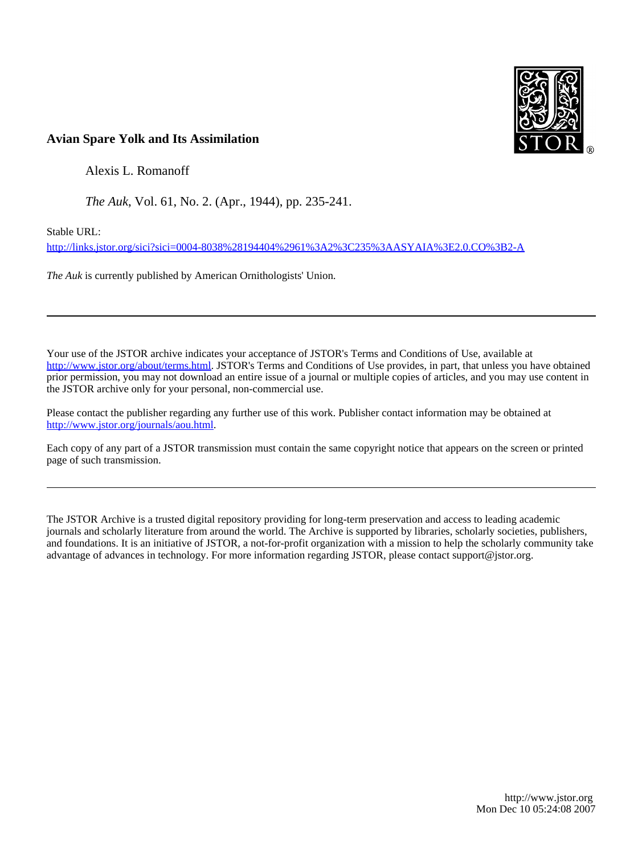

# **Avian Spare Yolk and Its Assimilation**

Alexis L. Romanoff

*The Auk*, Vol. 61, No. 2. (Apr., 1944), pp. 235-241.

Stable URL:

<http://links.jstor.org/sici?sici=0004-8038%28194404%2961%3A2%3C235%3AASYAIA%3E2.0.CO%3B2-A>

*The Auk* is currently published by American Ornithologists' Union.

Your use of the JSTOR archive indicates your acceptance of JSTOR's Terms and Conditions of Use, available at [http://www.jstor.org/about/terms.html.](http://www.jstor.org/about/terms.html) JSTOR's Terms and Conditions of Use provides, in part, that unless you have obtained prior permission, you may not download an entire issue of a journal or multiple copies of articles, and you may use content in the JSTOR archive only for your personal, non-commercial use.

Please contact the publisher regarding any further use of this work. Publisher contact information may be obtained at [http://www.jstor.org/journals/aou.html.](http://www.jstor.org/journals/aou.html)

Each copy of any part of a JSTOR transmission must contain the same copyright notice that appears on the screen or printed page of such transmission.

The JSTOR Archive is a trusted digital repository providing for long-term preservation and access to leading academic journals and scholarly literature from around the world. The Archive is supported by libraries, scholarly societies, publishers, and foundations. It is an initiative of JSTOR, a not-for-profit organization with a mission to help the scholarly community take advantage of advances in technology. For more information regarding JSTOR, please contact support@jstor.org.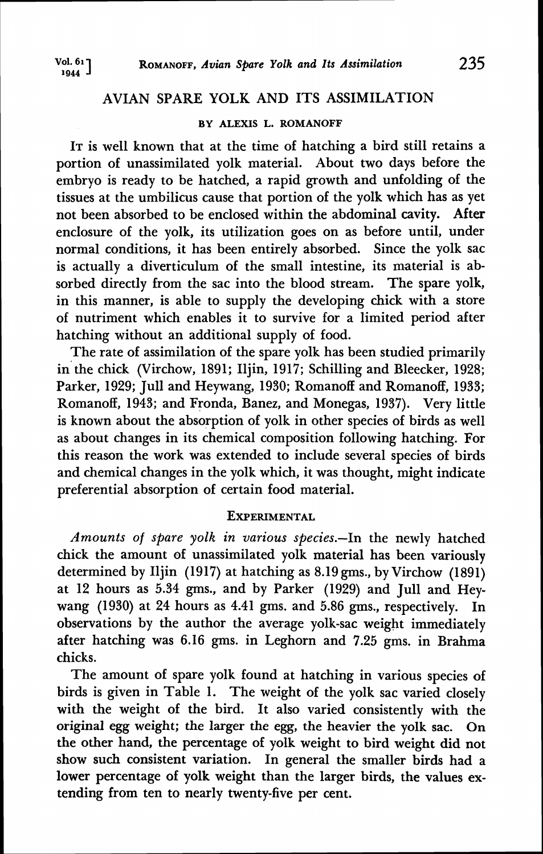## AVIAN SPARE YOLK AND ITS ASSIMILATION

### BY ALEXIS L. ROMANOFF

IT is well known that at the time of hatching a bird still retains a portion of unassimilated yolk material. About two days before the embryo is ready to be hatched, a rapid growth and unfolding of the tissues at the umbilicus cause that portion of the yolk which has as yet not been absorbed to be enclosed within the abdominal cavity. After enclosure of the yolk, its utilization goes on as before until, under normal conditions, it has been entirely absorbed. Since the yolk sac is actually a diverticulum of the small intestine, its material is absorbed directly from the sac into the blood stream. The spare yolk, in this manner, is able to supply the developing chick with a store of nutriment which enables it to survive for a limited period after hatching without an additional supply of food.

The rate of assimilation of the spare yolk has been studied primarily in the chick (Virchow, 1891; Iljin, 1917; Schilling and Bleecker, 1928; Parker, 1929; Jull and Heywang, 1930; Romanoff and Romanoff, 1933; Romanoff, 1943; and Fronda, Banez, and Monegas, 1937). Very little is known about the absorption of yolk in other species of birds as well as about changes in its chemical composition following hatching. For this reason the work was extended to include several species of birds and chemical changes in the yolk which, it was thought, might indicate preferential absorption of certain food material.

## **EXPERIMENTAL**

Amounts of spare yolk in various species.-In the newly hatched chick the amount of unassimilated yolk material has been variously determined by Iljin (1917) at hatching as 8.19 gms., by Virchow (1891) at 12 hours as 5.34 gms., and by Parker (1929) and Jull and Heywang (1930) at 24 hours as 4.41 gms. and 5.86 gms., respectively. In observations by the author the average yolk-sac weight immediately after hatching was 6.16 gms. in Leghorn and 7.25 gms. in Brahma chicks.

The amount of spare yolk found at hatching in various species of birds is given in Table 1. The weight of the yolk sac varied closely with the weight of the bird. It also varied consistently with the original egg weight; the larger the egg, the heavier the yolk sac. On the other hand, the percentage of yolk weight to bird weight did not show such consistent variation. In general the smaller birds had a lower percentage of yolk weight than the larger birds, the values extending from ten to nearly twenty-five per cent.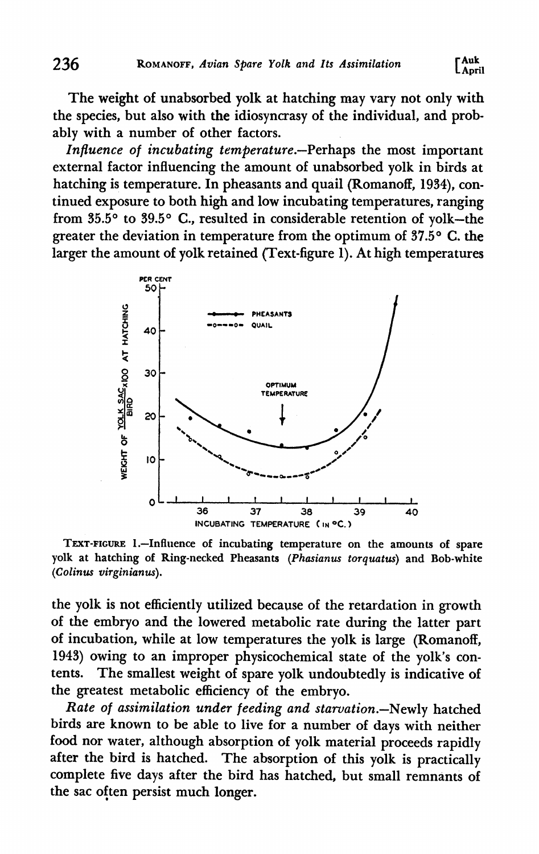The weight of unabsorbed yolk at hatching may vary not only with the species, but also with the idiosyncrasy of the individual, and probably with a number of other factors.

Influence of incubating temperature.-Perhaps the most important external factor influencing the amount of unabsorbed yolk in birds at hatching is temperature. In pheasants and quail (Romanoff, 1934), continued exposure to both high and low incubating temperatures, ranging from 35.5° to 39.5° C., resulted in considerable retention of yolk-the greater the deviation in temperature from the optimum of  $37.5^{\circ}$  C. the larger the amount of yolk retained (Text-figure 1). At high temperatures



**TEXT-FIGURE 1.-Influence of incubating temperature on the amounts of spare yolk at hatching of Ring-necked Pheasants** *(Phasianw torquatus)* **and Bob-white**  *(Colinw virginianus).* 

the yolk is not efficiently utilized because of the retardation in growth of the embryo and the lowered metabolic rate during the latter part of incubation, while at low temperatures the yolk is large (Romanoff, 1943) owing to an improper physicochemical state of the yolk's contents. The smallest weight of spare yolk undoubtedly is indicative of the greatest metabolic efficiency of the embryo.

Rate of assimilation under feeding and starvation.-Newly hatched birds are known to be able to live for a number of days with neither food nor water, although absorption of yolk material proceeds rapidly after the bird is hatched. The absorption of this yolk is practically complete five days after the bird has hatched, but small remnants of the sac often persist much longer.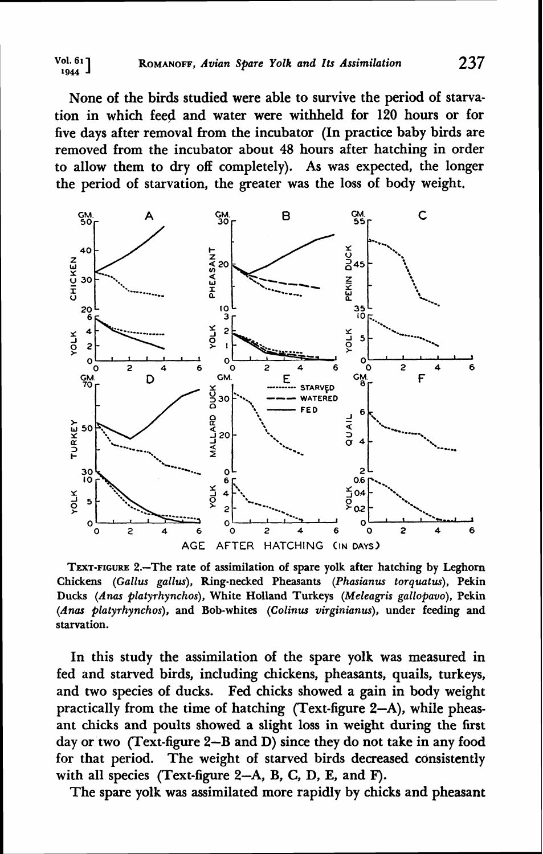None of the birds studied were able to survive the period of starvation in which feed and water were withheld for 120 hours or for five days after removal from the incubator (In practice baby birds are removed from the incubator about 48 hours after hatching in order to allow them to dry off completely). As was expected, the longer the period of starvation, the greater was the loss of body weight.



**TEXT-FIGURE 2.-The rate of assimilation of spare yolk after hatching by Leghorn Chickens** *(Gallus gallus),* **Ring-necked Pheasants** *(Phasianus torquatus),* **Pekin Ducks** *(Anas platyrhynchos),* **White Holland Turkeys** *(Meleagris gallopavo),* **Pekin**  *(Anus platyrhynchos),* **and Bob-whites** *(Colinus virginianus),* **under feeding and starvation.** 

In this study the assimilation of the spare yolk was measured in fed and starved birds, including chickens, pheasants, quails, turkeys, and two species of ducks. Fed chicks showed a gain in body weight practically from the time of hatching (Text-figure 2-A), while pheasant chicks and poults showed a slight loss in weight during the first day or two (Text-figure 2-B and D) since they do not take in any food for that period. The weight of starved birds decreased consistently with all species (Text-figure 2-A, B, C, D, E, and F).

The spare yolk was assimilated more rapidly by chicks and pheasant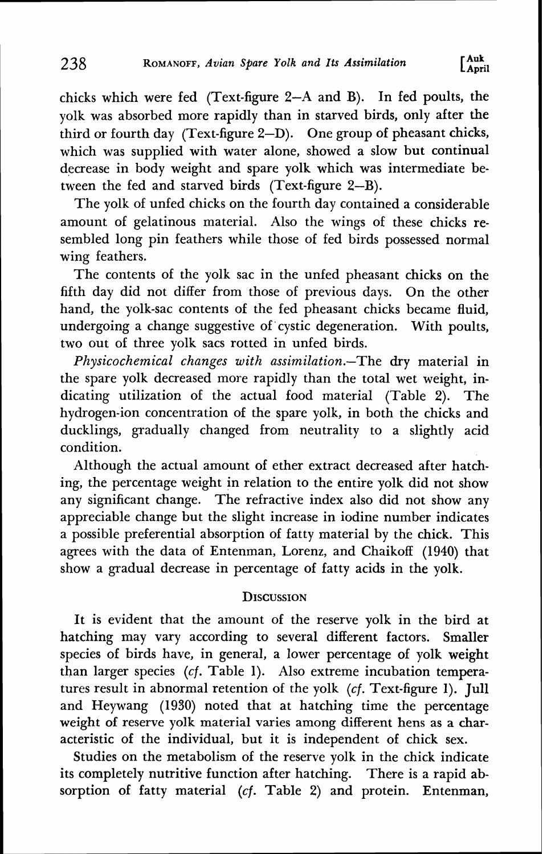chicks which were fed (Text-figure 2-A and B). In fed poults, the yolk was absorbed more rapidly than in starved birds, only after the third or fourth day (Text-figure 2-D). One group of pheasant chicks, which was supplied with water alone, showed a slow but continual decrease in body weight and spare yolk which was intermediate between the fed and starved birds (Text-figure 2-B).

The yolk of unfed chicks on the fourth day contained a considerable amount of gelatinous material. Also the wings of these chicks resembled long pin feathers while those of fed birds possessed normal wing feathers.

The contents of the yolk sac in the unfed pheasant chicks on the fifth day did not differ from those of previous days. On the other hand, the yolk-sac contents of the fed pheasant chicks became fluid, undergoing a change suggestive of cystic degeneration. With poults, two out of three yolk sacs rotted in unfed birds.

Physicochemical changes with assimilation.-The dry material in the spare yolk decreased more rapidly than the total wet weight, indicating utilization of the actual food material (Table 2). The hydrogen-ion concentration of the spare yolk, in both the chicks and ducklings, gradually changed from neutrality to a slightly acid condition.

Although the actual amount of ether extract decreased after hatching, the percentage weight in relation to the entire yolk did not show any significant change. The refractive index also did not show any appreciable change but the slight increase in iodine number indicates a possible preferential absorption of fatty material by the chick. This agrees with the data of Entenman, Lorenz, and Chaikoff (1940) that show a gradual decrease in percentage of fatty acids in the yolk.

## **DISCUSSION**

It is evident that the amount of the reserve yolk in the bird at hatching may vary according to several different factors. Smaller species of birds have, in general, a lower percentage of yolk weight than larger species (cf. Table 1). Also extreme incubation temperatures result in abnormal retention of the yolk (cf. Text-figure 1). Jull and Heywang (1930) noted that at hatching time the percentage weight of reserve yolk material varies among different hens as a **char**acteristic of the individual, but it is independent of chick sex.

Studies on the metabolism of the reserve yolk in the chick indicate its completely nutritive function after hatching. There is a rapid absorption of fatty material (cf. Table 2) and protein. Entenman,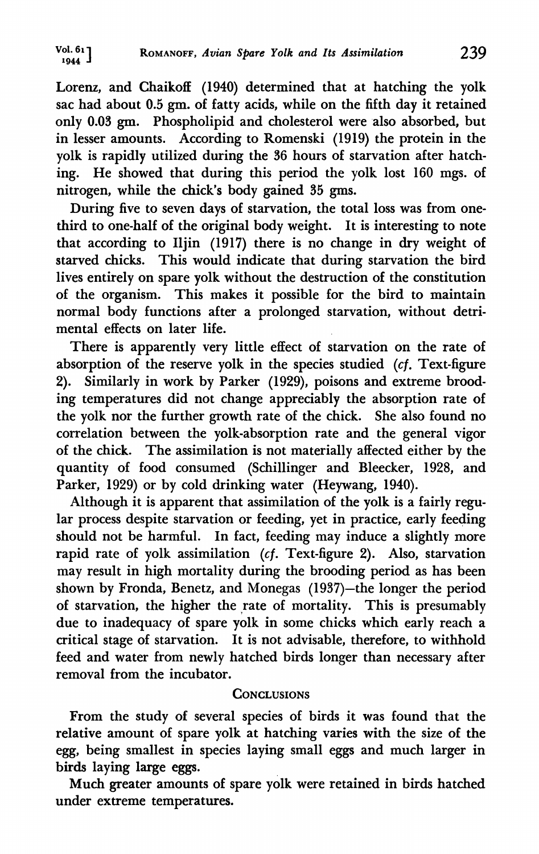Lorenz, and Chaikoff (1940) determined that at hatching the yolk sac had about 0.5 gm. of fatty acids, while on the fifth day it retained only 0.03 **gm.** Phospholipid and cholesterol were also absorbed, but in lesser amounts. According to Romenski (1919) the protein in the yolk is rapidly utilized during the 36 hours of starvation after hatching. He showed that during this period the yolk lost 160 mgs. of nitrogen, while the chick's body gained 35 gms.

During five to seven days of starvation, the total loss was from onethird to one-half of the original body weight. It is interesting to note that according to Iljin (1917) there is no change in dry weight of starved chicks. This would indicate that during starvation the bird lives entirely on spare yolk without the destruction of the constitution of the organism. This makes it possible for the bird to maintain normal body functions after a prolonged starvation, without detrimental effects on later life.

There is apparently very little effect of starvation on the rate of absorption of the reserve yolk in the species studied (cf. Text-figure 2). Similarly in work by Parker (1929), poisons and extreme brooding temperatures did not change appreciably the absorption rate of the yolk nor the further growth rate of the chick. She also found no correlation between the yolk-absorption rate and the general vigor of the chick. The assimilation is not materially affected either by the quantity of food consumed (Schillinger and Bleecker, 1928, and Parker, 1929) or by cold drinking water (Heywang, 1940).

Although it is apparent that assimilation of the yolk is a fairly regular process despite starvation or feeding, yet in practice, early feeding should not be harmful. In fact, feeding may induce a slightly more rapid rate of yolk assimilation (cf. Text-figure 2). Also, starvation may result in high mortality during the brooding period as has been shown by Fronda, Benetz, and Monegas (1937)-the longer the period of starvation, the higher the rate of mortality. This is presumably due to inadequacy of spare yolk in some chicks which early reach a critical stage of starvation. It is not advisable, therefore, to withhold feed and water from newly hatched birds longer than necessary after removal from the incubator.

## **CONCLUSIONS**

From the study of several species of birds it was found that the relative amount of spare yolk at hatching varies with the size of the egg, being smallest in species laying small eggs and much larger in birds laying large eggs.

Much greater amounts of spare yolk were retained in birds hatched under extreme temperatures.

**Vol. 61 1944 ROMANOFF,** *Avian Spare Yolk and Its Assimilation* **239**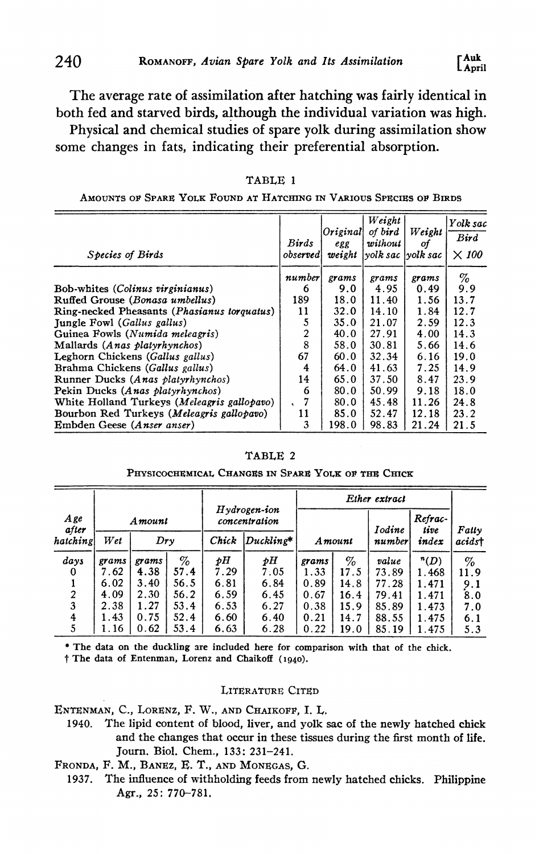The average rate of assimilation after hatching was fairly identical in both fed and starved birds, although the individual variation was high.

Physical and chemical studies of spare yolk during assimilation show some changes in fats, indicating their preferential absorption.

| Species of Birds                            | Birds<br>observed | $O$ riginal<br>egg<br>weight | Weight<br>of bird<br>without<br>yolk sac  yolk sac | Weight<br>of | Yolk sac<br><b>Bird</b><br>$\times$ 100 |
|---------------------------------------------|-------------------|------------------------------|----------------------------------------------------|--------------|-----------------------------------------|
|                                             | number            | grams                        | grams                                              | grams        | %                                       |
| Bob-whites (Colinus virginianus)            | 6                 | 9.0                          | 4.95                                               | 0.49         | 9.9                                     |
| Ruffed Grouse (Bonasa umbellus)             | 189               | 18.0                         | 11.40                                              | 1.56         | 13.7                                    |
| Ring-necked Pheasants (Phasianus torquatus) | 11                | 32.0                         | 14.10                                              | 1.84         | 12.7                                    |
| Jungle Fowl (Gallus gallus)                 | 5                 | 35.0                         | 21.07                                              | 2.59         | 12.3                                    |
| Guinea Fowls (Numida meleagris)             | 2                 | 40.0                         | 27.91                                              | 4.00         | 14.3                                    |
| Mallards (Anas platyrhynchos)               | 8                 | 58.0                         | 30.81                                              | 5.66         | 14.6                                    |
| Leghorn Chickens (Gallus gallus)            | 67                | 60.0                         | 32.34                                              | 6.16         | 19.0                                    |
| Brahma Chickens (Gallus gallus)             | 4                 | 64.0                         | 41.63                                              | 7.25         | 14.9                                    |
| Runner Ducks (Anas platyrhynchos)           | 14                | 65.0                         | 37.50                                              | 8.47         | 23.9                                    |
| Pekin Ducks (Anas platyrhynchos)            | 6                 | 80.0                         | 50.99                                              | 9.18         | 18.0                                    |
| White Holland Turkeys (Meleagris gallopavo) |                   | 80.0                         | 45.48                                              | 11.26        | 24.8                                    |
| Bourbon Red Turkeys (Meleagris gallopavo)   | 11                | 85.0                         | 52.47                                              | 12.18        | 23.2                                    |
| Embden Geese (Anser anser)                  | 3                 | 198.0                        | 98.83                                              | 21.24        | 21.5                                    |

TABLE 1

AMOUNTS OF SPARE YOLK FOUND AT HATCHING IN VARIOUS SPECIES OF BIRDS

#### TABLE 2

#### PHYSICOCHEMICAL CHANGES IN SPARE YOLK OF THE CHICK

| TABLE 2<br>PHYSICOCHEMICAL CHANGES IN SPARE YOLK OF THE CHICK |        |       |                                                                                                                                    |                                  |             |               |      |               |                 |                 |  |  |
|---------------------------------------------------------------|--------|-------|------------------------------------------------------------------------------------------------------------------------------------|----------------------------------|-------------|---------------|------|---------------|-----------------|-----------------|--|--|
|                                                               | Amount |       |                                                                                                                                    | $Hydrogen$ -ion<br>concentration |             | Ether extract |      |               |                 |                 |  |  |
| A ge<br>after                                                 |        |       |                                                                                                                                    |                                  |             |               |      | <b>Iodine</b> | Refrac-<br>tive | Fatty           |  |  |
| hatching                                                      | Wet    | Dry   |                                                                                                                                    | Chick                            | $Duckline*$ | Amount        |      | number        | index           | acidst          |  |  |
| $_{days}$                                                     | grams  | grams | $% \mathcal{P}_{\mathrm{C}}\left( \mathcal{P}_{\mathrm{C}}\right) =\mathcal{P}_{\mathrm{C}}\left( \mathcal{P}_{\mathrm{C}}\right)$ | рH                               | pН          | grams         | $\%$ | value         | n(D)            | $% \mathcal{N}$ |  |  |
| ∩                                                             | 7.62   | 4.38  | 57.4                                                                                                                               | 7.29                             | 7:05        | 1.33          | 17.5 | 73.89         | 1.468           | 11.9            |  |  |
|                                                               | 6.02   | 3.40  | 56.5                                                                                                                               | 6.81                             | 6.84        | 0.89          | 14.8 | 77.28         | 1.471           | 9.1             |  |  |
| 2                                                             | 4.09   | 2.30  | 56.2                                                                                                                               | 6.59                             | 6.45        | 0.67          | 16.4 | 79.41         | 1.471           | 8.0             |  |  |
| 3                                                             | 2.38   | 1.27  | 53.4                                                                                                                               | 6.53                             | 6.27        | 0.38          | 15.9 | 85.89         | 1.473           | 7.0             |  |  |
| 4                                                             | 1.43   | 0.75  | 52.4                                                                                                                               | 6.60                             | 6.40        | 0.21          | 14.7 | 88.55         | 1.475           | 6.1             |  |  |
| 5                                                             | 1.16   | 0.62  | 53.4                                                                                                                               | 6.63                             | 6.28        | 0.22          | 19.0 | 85.19         | 1.475           | 5.3             |  |  |

The data on the duckling are included here for comparison with that of the chick.

i The data of Entenman, **Lorenz** and Chaikoff (1940).

#### LITERATURE CITED

ENTENMAN, C., LORENZ, F. W., AND CHAIKOFF, I. L.

- 1940. The lipid content of blood, liver, and yolk sac of the newly hatched chick and the changes that occur in these tissues during the first month of life. Journ. Biol. Chem., 133: 231-241.
- FRONDA, F. M., BANEZ, E. T., AND MONEGAS, G.
	- 1937. The influence of withholding feeds from newly hatched chicks. Philippine **Agr.,** 25: 770-781.